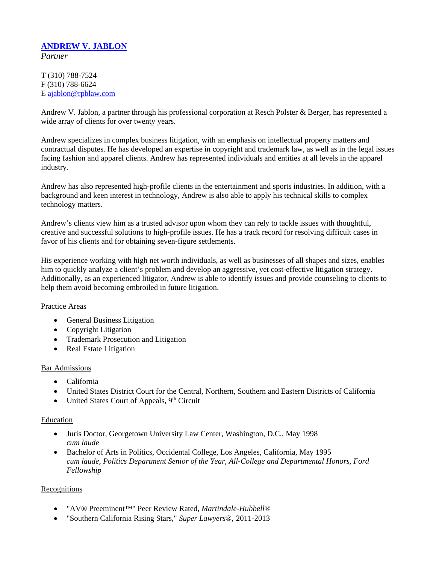# **ANDREW V. JABLON**

*Partner*

T (310) 788-7524 F (310) 788-6624 E ajablon@rpblaw.com

Andrew V. Jablon, a partner through his professional corporation at Resch Polster & Berger, has represented a wide array of clients for over twenty years.

Andrew specializes in complex business litigation, with an emphasis on intellectual property matters and contractual disputes. He has developed an expertise in copyright and trademark law, as well as in the legal issues facing fashion and apparel clients. Andrew has represented individuals and entities at all levels in the apparel industry.

Andrew has also represented high-profile clients in the entertainment and sports industries. In addition, with a background and keen interest in technology, Andrew is also able to apply his technical skills to complex technology matters.

Andrew's clients view him as a trusted advisor upon whom they can rely to tackle issues with thoughtful, creative and successful solutions to high-profile issues. He has a track record for resolving difficult cases in favor of his clients and for obtaining seven-figure settlements.

His experience working with high net worth individuals, as well as businesses of all shapes and sizes, enables him to quickly analyze a client's problem and develop an aggressive, yet cost-effective litigation strategy. Additionally, as an experienced litigator, Andrew is able to identify issues and provide counseling to clients to help them avoid becoming embroiled in future litigation.

#### Practice Areas

- General Business Litigation
- Copyright Litigation
- Trademark Prosecution and Litigation
- Real Estate Litigation

#### Bar Admissions

- California
- United States District Court for the Central, Northern, Southern and Eastern Districts of California
- United States Court of Appeals,  $9<sup>th</sup>$  Circuit

#### Education

- Juris Doctor, Georgetown University Law Center, Washington, D.C., May 1998 *cum laude*
- Bachelor of Arts in Politics, Occidental College, Los Angeles, California, May 1995 *cum laude*, *Politics Department Senior of the Year, All-College and Departmental Honors, Ford Fellowship*

#### **Recognitions**

- "AV® Preeminent™" Peer Review Rated, *Martindale-Hubbell*®
- "Southern California Rising Stars," *Super Lawyers*®, 2011-2013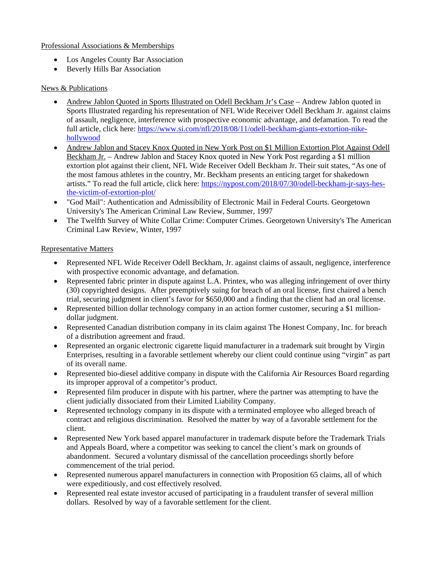### Professional Associations & Memberships

- Los Angeles County Bar Association
- Beverly Hills Bar Association

## News & Publications

- Andrew Jablon Quoted in Sports Illustrated on Odell Beckham Jr's Case Andrew Jablon quoted in Sports Illustrated regarding his representation of NFL Wide Receiver Odell Beckham Jr. against claims of assault, negligence, interference with prospective economic advantage, and defamation. To read the full article, click here: https://www.si.com/nfl/2018/08/11/odell-beckham-giants-extortion-nikehollywood
- Andrew Jablon and Stacey Knox Quoted in New York Post on \$1 Million Extortion Plot Against Odell Beckham Jr. – Andrew Jablon and Stacey Knox quoted in New York Post regarding a \$1 million extortion plot against their client, NFL Wide Receiver Odell Beckham Jr. Their suit states, "As one of the most famous athletes in the country, Mr. Beckham presents an enticing target for shakedown artists." To read the full article, click here: https://nypost.com/2018/07/30/odell-beckham-jr-says-hesthe-victim-of-extortion-plot/
- "God Mail": Authentication and Admissibility of Electronic Mail in Federal Courts. Georgetown University's The American Criminal Law Review, Summer, 1997
- The Twelfth Survey of White Collar Crime: Computer Crimes. Georgetown University's The American Criminal Law Review, Winter, 1997

## Representative Matters

- Represented NFL Wide Receiver Odell Beckham, Jr. against claims of assault, negligence, interference with prospective economic advantage, and defamation.
- Represented fabric printer in dispute against L.A. Printex, who was alleging infringement of over thirty (30) copyrighted designs. After preemptively suing for breach of an oral license, first chaired a bench trial, securing judgment in client's favor for \$650,000 and a finding that the client had an oral license.
- Represented billion dollar technology company in an action former customer, securing a \$1 milliondollar judgment.
- Represented Canadian distribution company in its claim against The Honest Company, Inc. for breach of a distribution agreement and fraud.
- Represented an organic electronic cigarette liquid manufacturer in a trademark suit brought by Virgin Enterprises, resulting in a favorable settlement whereby our client could continue using "virgin" as part of its overall name.
- Represented bio-diesel additive company in dispute with the California Air Resources Board regarding its improper approval of a competitor's product.
- Represented film producer in dispute with his partner, where the partner was attempting to have the client judicially dissociated from their Limited Liability Company.
- Represented technology company in its dispute with a terminated employee who alleged breach of contract and religious discrimination. Resolved the matter by way of a favorable settlement for the client.
- Represented New York based apparel manufacturer in trademark dispute before the Trademark Trials and Appeals Board, where a competitor was seeking to cancel the client's mark on grounds of abandonment. Secured a voluntary dismissal of the cancellation proceedings shortly before commencement of the trial period.
- Represented numerous apparel manufacturers in connection with Proposition 65 claims, all of which were expeditiously, and cost effectively resolved.
- Represented real estate investor accused of participating in a fraudulent transfer of several million dollars. Resolved by way of a favorable settlement for the client.